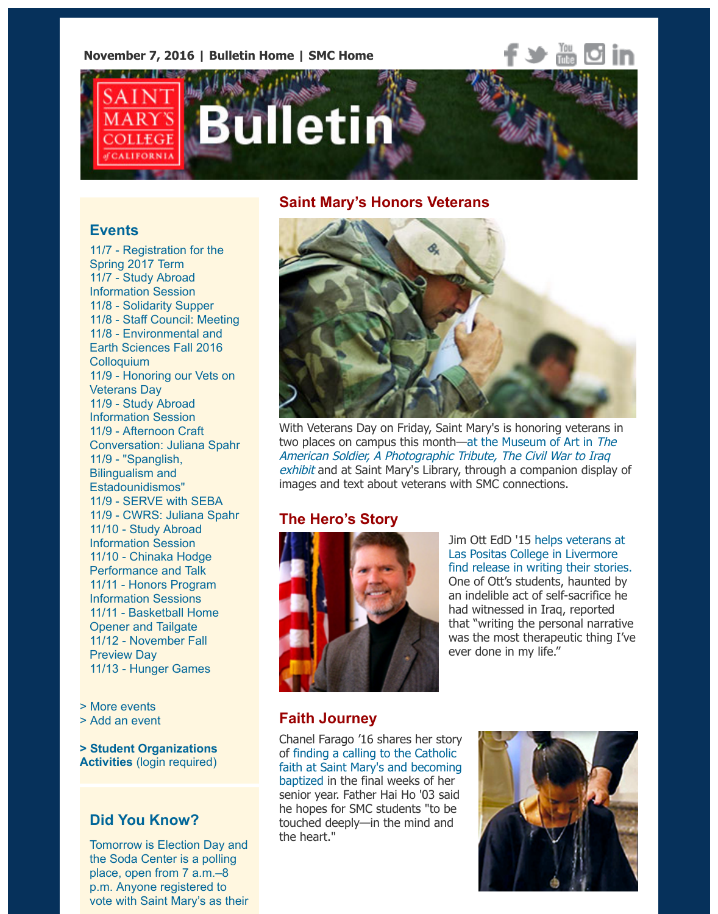**November 7, 2016 | [Bulletin Home](http://www.stmarys-ca.edu/smc-bulletin?utm_source=Bulletin&utm_medium=email&utm_content=headerlinks_test&utm_campaign=11-07-2016) | [SMC Home](http://www.stmarys-ca.edu/?utm_source=Bulletin&utm_medium=email&utm_content=headerlinks_test&utm_campaign=11-07-2016)**

# **Bulletin**

#### **Saint Mary's Honors Veterans**

### **Events**

[11/7 - Registration for the](http://www.stmarys-ca.edu/registration-for-the-spring-2017-term?utm_source=Bulletin&utm_medium=email&utm_content=event_test&utm_campaign=11-07-2016) Spring 2017 Term 11/7 - Study Abroad [Information Session](http://www.stmarys-ca.edu/study-abroad-information-session?utm_source=Bulletin&utm_medium=email&utm_content=event_test&utm_campaign=11-07-2016) 11/8 - [Solidarity Supper](http://www.stmarys-ca.edu/solidarity-supper-0?utm_source=Bulletin&utm_medium=email&utm_content=event_test&utm_campaign=11-07-2016) 11/8 - [Staff Council: Meeting](http://www.stmarys-ca.edu/staff-council-meeting-5?utm_source=Bulletin&utm_medium=email&utm_content=event_test&utm_campaign=11-07-2016) 11/8 - Environmental and [Earth Sciences Fall 2016](http://www.stmarys-ca.edu/environmental-and-earth-sciences-fall-2016-colloquium?utm_source=Bulletin&utm_medium=email&utm_content=event_test&utm_campaign=11-07-2016) **Colloquium** [11/9 - Honoring our Vets on](http://www.stmarys-ca.edu/honoring-our-vets-on-veterans-day?utm_source=Bulletin&utm_medium=email&utm_content=event_test&utm_campaign=11-07-2016) Veterans Day 11/9 - Study Abroad [Information Session](http://www.stmarys-ca.edu/study-abroad-information-session?utm_source=Bulletin&utm_medium=email&utm_content=event_test&utm_campaign=11-07-2016) 11/9 - Afternoon Craft [Conversation: Juliana Spahr](http://www.stmarys-ca.edu/afternoon-craft-conversation-0?utm_source=Bulletin&utm_medium=email&utm_content=event_test&utm_campaign=11-07-2016) 11/9 - "Spanglish, Bilingualism and [Estadounidismos"](http://www.stmarys-ca.edu/lecturespanglish-bilingualism-and-estadounidismosdisentangling-the-concepts?utm_source=Bulletin&utm_medium=email&utm_content=event_test&utm_campaign=11-07-2016)  11/9 - [SERVE with SEBA](http://www.stmarys-ca.edu/serve-with-seba?utm_source=Bulletin&utm_medium=email&utm_content=event_test&utm_campaign=11-07-2016) 11/9 - [CWRS: Juliana Spahr](http://www.stmarys-ca.edu/creative-writing-reading-series-3?utm_source=Bulletin&utm_medium=email&utm_content=event_test&utm_campaign=11-07-2016) [11/10 - Study Abroad](http://www.stmarys-ca.edu/study-abroad-information-session?utm_source=Bulletin&utm_medium=email&utm_content=event_test&utm_campaign=11-07-2016) Information Session [11/10 - Chinaka Hodge](http://www.stmarys-ca.edu/chinaka-hodge?utm_source=Bulletin&utm_medium=email&utm_content=event_test&utm_campaign=11-07-2016) Performance and Talk [11/11 - Honors Program](http://www.stmarys-ca.edu/honors-program-information-sessions?utm_source=Bulletin&utm_medium=email&utm_content=event_test&utm_campaign=11-07-2016) Information Sessions [11/11 - Basketball Home](http://www.stmarys-ca.edu/basketball-home-opener-and-tailgate?utm_source=Bulletin&utm_medium=email&utm_content=event_test&utm_campaign=11-07-2016) Opener and Tailgate [11/12 - November Fall](http://www.stmarys-ca.edu/november-fall-preview-day?utm_source=Bulletin&utm_medium=email&utm_content=event_test&utm_campaign=11-07-2016) Preview Day 11/13 - [Hunger Games](http://www.stmarys-ca.edu/hunger-games?utm_source=Bulletin&utm_medium=email&utm_content=event_test&utm_campaign=11-07-2016)

- [> More events](http://www.stmarys-ca.edu/events?utm_source=Bulletin&utm_medium=email&utm_content=event_test&utm_campaign=11-07-2016)
- [> Add an event](http://www.stmarys-ca.edu/node/add/calendar-event?utm_source=Bulletin&utm_medium=email&utm_content=event_test&utm_campaign=11-07-2016)

**[> Student Organizations](https://stmarys-ca-community.symplicity.com/) Activities** (login required)

# **Did You Know?**

Tomorrow is Election Day and the Soda Center is a polling place, open from 7 a.m.–8 p.m. Anyone registered to vote with Saint Mary's as their



With Veterans Day on Friday, Saint Mary's is honoring veterans in two places on campus this month—at the Museum of Art in The [American Soldier, A Photographic Tribute, The Civil War to Iraq](http://www.stmarys-ca.edu/snapshots-of-history-at-smc-the-american-soldier-exhibit?utm_source=Bulletin&utm_medium=email&utm_content=feature_test&utm_campaign=11-07-2016) exhibit and at Saint Mary's Library, through a companion display of images and text about veterans with SMC connections.

# **The Hero's Story**



Jim Ott EdD '15 helps veterans at Las Positas College in Livermore [find release in writing their stories.](http://www.stmarys-ca.edu/the-hero%E2%80%99s-journey?utm_source=Bulletin&utm_medium=email&utm_content=feature_test&utm_campaign=11-07-2016) One of Ott's students, haunted by an indelible act of self-sacrifice he had witnessed in Iraq, reported that "writing the personal narrative was the most therapeutic thing I've ever done in my life."

# **Faith Journey**

Chanel Farago '16 shares her story of finding a calling to the Catholic [faith at Saint Mary's and becoming](https://www.youtube.com/watch?v=SXGcQnq8LIU?utm_source=Bulletin&utm_medium=email&utm_content=feature_test&utm_campaign=11-07-2016) baptized in the final weeks of her senior year. Father Hai Ho '03 said he hopes for SMC students "to be touched deeply—in the mind and the heart."

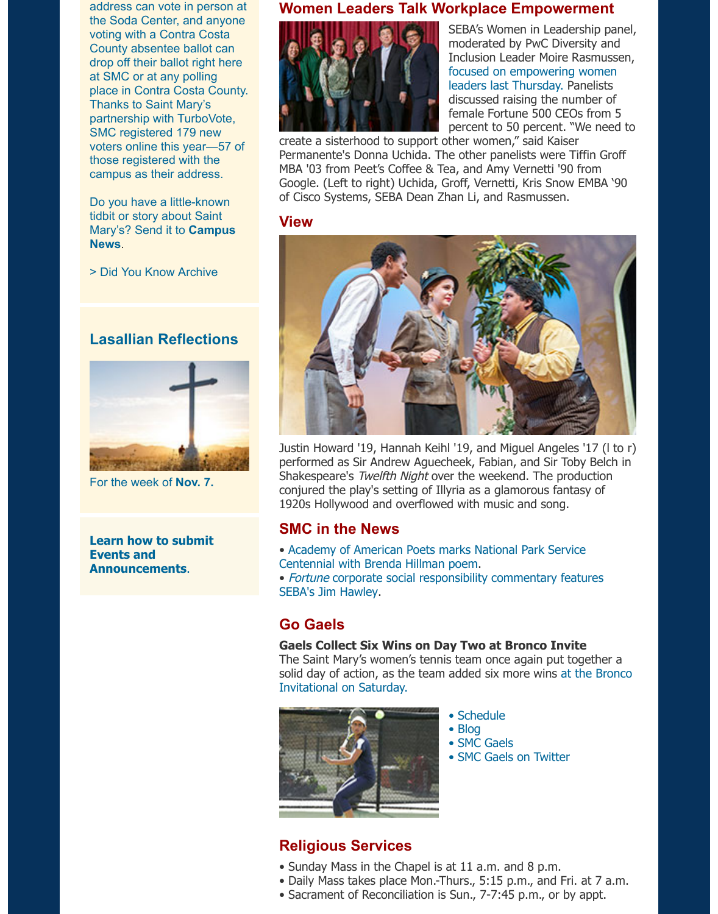address can vote in person at the Soda Center, and anyone voting with a Contra Costa County absentee ballot can drop off their ballot right here at SMC or at any polling place in Contra Costa County. Thanks to Saint Mary's partnership with TurboVote, SMC registered 179 new voters online this year—57 of those registered with the campus as their address.

Do you have a little-known tidbit or story about Saint [Mary's? Send it to](mailto:news@stmarys-ca.edu) **Campus News**.

[> Did You Know Archive](http://www.stmarys-ca.edu/smc-bulletin/did-you-know-0?utm_source=Bulletin&utm_medium=email&utm_content=sidebar_test&utm_campaign=11-07-2016)

#### **Lasallian Reflections**



For the week of **[Nov. 7.](http://www.stmarys-ca.edu/living-lasallian/lasallian-reflections?utm_source=Bulletin&utm_medium=email&utm_content=sidebar_test&utm_campaign=11-07-2016)**

**[Learn how to submit](http://www.stmarys-ca.edu/smc-bulletin/faqs?utm_source=Bulletin&utm_medium=email&utm_content=sidebar_test&utm_campaign=11-07-2016) Events and Announcements**.

#### **Women Leaders Talk Workplace Empowerment**



SEBA's Women in Leadership panel, moderated by PwC Diversity and Inclusion Leader Moire Rasmussen, [focused on empowering women](http://www.stmarys-ca.edu/women-leaders-talk-workplace-empowerment?utm_source=Bulletin&utm_medium=email&utm_content=feature_test&utm_campaign=11-07-2016) leaders last Thursday. Panelists discussed raising the number of female Fortune 500 CEOs from 5 percent to 50 percent. "We need to

create a sisterhood to support other women," said Kaiser Permanente's Donna Uchida. The other panelists were Tiffin Groff MBA '03 from Peet's Coffee & Tea, and Amy Vernetti '90 from Google. (Left to right) Uchida, Groff, Vernetti, Kris Snow EMBA '90 of Cisco Systems, SEBA Dean Zhan Li, and Rasmussen.

#### **View**



Justin Howard '19, Hannah Keihl '19, and Miguel Angeles '17 (l to r) performed as Sir Andrew Aguecheek, Fabian, and Sir Toby Belch in Shakespeare's Twelfth Night over the weekend. The production conjured the play's setting of Illyria as a glamorous fantasy of 1920s Hollywood and overflowed with music and song.

#### **SMC in the News**

[• Academy of American Poets marks National Park Service](http://www.stmarys-ca.edu/academy-of-american-poets-marks-national-park-service-centennial-with-brenda-hillman-poem?utm_source=Bulletin&utm_medium=email&utm_content=feature_test&utm_campaign=11-07-2016) Centennial with Brenda Hillman poem. • Fortune [corporate social responsibility commentary features](http://www.stmarys-ca.edu/fortune-corporate-social-responsibility-commentary-features-sebas-jim-hawley?utm_source=Bulletin&utm_medium=email&utm_content=feature_test&utm_campaign=11-07-2016) SEBA's Jim Hawley.

#### **Go Gaels**

#### **Gaels Collect Six Wins on Day Two at Bronco Invite**

The Saint Mary's women's tennis team once again put together a [solid day of action, as the team added six more wins at the Bronco](http://www.smcgaels.com/ViewArticle.dbml?DB_OEM_ID=21400&ATCLID=211277102) Invitational on Saturday.



- • [Schedule](http://www.smcgaels.com/main/Schedule.dbml)
- • [Blog](http://smcgaels.wordpress.com/)
- • [SMC Gaels](http://www.smcgaels.com/)
- • [SMC Gaels on Twitter](https://twitter.com/smcgaels)

#### **Religious Services**

- Sunday Mass in the Chapel is at 11 a.m. and 8 p.m.
- Daily Mass takes place Mon.-Thurs., 5:15 p.m., and Fri. at 7 a.m.
- Sacrament of Reconciliation is Sun., 7-7:45 p.m., or by appt.